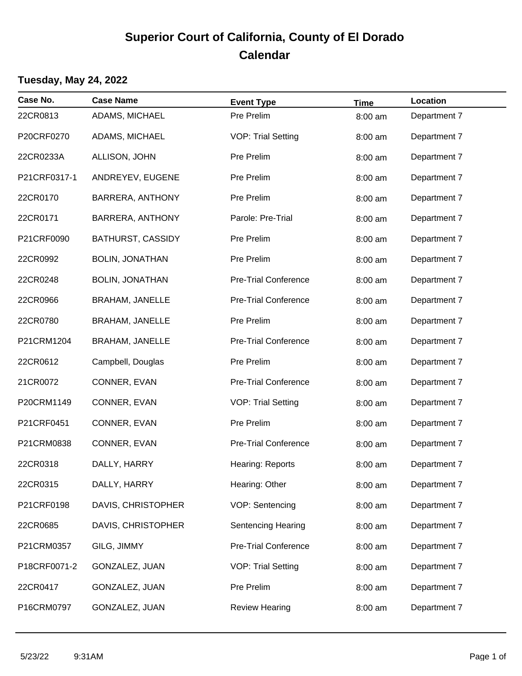# **Superior Court of California, County of El Dorado Calendar**

#### **Tuesday, May 24, 2022**

| Case No.     | <b>Case Name</b>         | <b>Event Type</b>           | <b>Time</b> | Location     |
|--------------|--------------------------|-----------------------------|-------------|--------------|
| 22CR0813     | ADAMS, MICHAEL           | Pre Prelim                  | 8:00 am     | Department 7 |
| P20CRF0270   | ADAMS, MICHAEL           | <b>VOP: Trial Setting</b>   | 8:00 am     | Department 7 |
| 22CR0233A    | ALLISON, JOHN            | Pre Prelim                  | 8:00 am     | Department 7 |
| P21CRF0317-1 | ANDREYEV, EUGENE         | Pre Prelim                  | 8:00 am     | Department 7 |
| 22CR0170     | <b>BARRERA, ANTHONY</b>  | Pre Prelim                  | 8:00 am     | Department 7 |
| 22CR0171     | <b>BARRERA, ANTHONY</b>  | Parole: Pre-Trial           | 8:00 am     | Department 7 |
| P21CRF0090   | <b>BATHURST, CASSIDY</b> | Pre Prelim                  | 8:00 am     | Department 7 |
| 22CR0992     | <b>BOLIN, JONATHAN</b>   | Pre Prelim                  | 8:00 am     | Department 7 |
| 22CR0248     | <b>BOLIN, JONATHAN</b>   | <b>Pre-Trial Conference</b> | 8:00 am     | Department 7 |
| 22CR0966     | <b>BRAHAM, JANELLE</b>   | <b>Pre-Trial Conference</b> | 8:00 am     | Department 7 |
| 22CR0780     | <b>BRAHAM, JANELLE</b>   | Pre Prelim                  | 8:00 am     | Department 7 |
| P21CRM1204   | <b>BRAHAM, JANELLE</b>   | <b>Pre-Trial Conference</b> | 8:00 am     | Department 7 |
| 22CR0612     | Campbell, Douglas        | Pre Prelim                  | 8:00 am     | Department 7 |
| 21CR0072     | CONNER, EVAN             | Pre-Trial Conference        | 8:00 am     | Department 7 |
| P20CRM1149   | CONNER, EVAN             | <b>VOP: Trial Setting</b>   | 8:00 am     | Department 7 |
| P21CRF0451   | CONNER, EVAN             | Pre Prelim                  | 8:00 am     | Department 7 |
| P21CRM0838   | CONNER, EVAN             | <b>Pre-Trial Conference</b> | 8:00 am     | Department 7 |
| 22CR0318     | DALLY, HARRY             | Hearing: Reports            | 8:00 am     | Department 7 |
| 22CR0315     | DALLY, HARRY             | Hearing: Other              | 8:00 am     | Department 7 |
| P21CRF0198   | DAVIS, CHRISTOPHER       | VOP: Sentencing             | 8:00 am     | Department 7 |
| 22CR0685     | DAVIS, CHRISTOPHER       | Sentencing Hearing          | 8:00 am     | Department 7 |
| P21CRM0357   | GILG, JIMMY              | <b>Pre-Trial Conference</b> | 8:00 am     | Department 7 |
| P18CRF0071-2 | GONZALEZ, JUAN           | <b>VOP: Trial Setting</b>   | 8:00 am     | Department 7 |
| 22CR0417     | GONZALEZ, JUAN           | Pre Prelim                  | 8:00 am     | Department 7 |
| P16CRM0797   | GONZALEZ, JUAN           | <b>Review Hearing</b>       | 8:00 am     | Department 7 |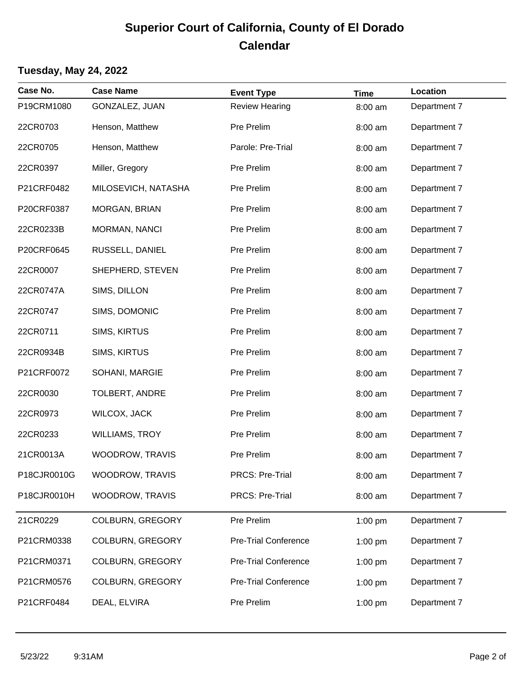## **Superior Court of California, County of El Dorado Calendar**

#### **Tuesday, May 24, 2022**

| Case No.    | <b>Case Name</b>        | <b>Event Type</b>           | <b>Time</b> | Location     |  |
|-------------|-------------------------|-----------------------------|-------------|--------------|--|
| P19CRM1080  | GONZALEZ, JUAN          | <b>Review Hearing</b>       | 8:00 am     | Department 7 |  |
| 22CR0703    | Henson, Matthew         | Pre Prelim                  | 8:00 am     | Department 7 |  |
| 22CR0705    | Henson, Matthew         | Parole: Pre-Trial           | 8:00 am     | Department 7 |  |
| 22CR0397    | Miller, Gregory         | Pre Prelim                  | 8:00 am     | Department 7 |  |
| P21CRF0482  | MILOSEVICH, NATASHA     | Pre Prelim                  | 8:00 am     | Department 7 |  |
| P20CRF0387  | MORGAN, BRIAN           | Pre Prelim                  | 8:00 am     | Department 7 |  |
| 22CR0233B   | MORMAN, NANCI           | Pre Prelim                  | 8:00 am     | Department 7 |  |
| P20CRF0645  | RUSSELL, DANIEL         | Pre Prelim                  | 8:00 am     | Department 7 |  |
| 22CR0007    | SHEPHERD, STEVEN        | Pre Prelim                  | 8:00 am     | Department 7 |  |
| 22CR0747A   | SIMS, DILLON            | Pre Prelim                  | 8:00 am     | Department 7 |  |
| 22CR0747    | SIMS, DOMONIC           | Pre Prelim                  | 8:00 am     | Department 7 |  |
| 22CR0711    | SIMS, KIRTUS            | Pre Prelim                  | 8:00 am     | Department 7 |  |
| 22CR0934B   | SIMS, KIRTUS            | Pre Prelim                  | 8:00 am     | Department 7 |  |
| P21CRF0072  | SOHANI, MARGIE          | Pre Prelim                  | 8:00 am     | Department 7 |  |
| 22CR0030    | TOLBERT, ANDRE          | Pre Prelim                  | 8:00 am     | Department 7 |  |
| 22CR0973    | <b>WILCOX, JACK</b>     | Pre Prelim                  | 8:00 am     | Department 7 |  |
| 22CR0233    | <b>WILLIAMS, TROY</b>   | Pre Prelim                  | 8:00 am     | Department 7 |  |
| 21CR0013A   | WOODROW, TRAVIS         | Pre Prelim                  | 8:00 am     | Department 7 |  |
| P18CJR0010G | <b>WOODROW, TRAVIS</b>  | <b>PRCS: Pre-Trial</b>      | 8:00 am     | Department 7 |  |
| P18CJR0010H | WOODROW, TRAVIS         | PRCS: Pre-Trial             | 8:00 am     | Department 7 |  |
| 21CR0229    | COLBURN, GREGORY        | Pre Prelim                  | 1:00 pm     | Department 7 |  |
| P21CRM0338  | <b>COLBURN, GREGORY</b> | <b>Pre-Trial Conference</b> | $1:00$ pm   | Department 7 |  |
| P21CRM0371  | <b>COLBURN, GREGORY</b> | <b>Pre-Trial Conference</b> | $1:00$ pm   | Department 7 |  |
| P21CRM0576  | <b>COLBURN, GREGORY</b> | <b>Pre-Trial Conference</b> | $1:00$ pm   | Department 7 |  |
| P21CRF0484  | DEAL, ELVIRA            | Pre Prelim                  | 1:00 pm     | Department 7 |  |